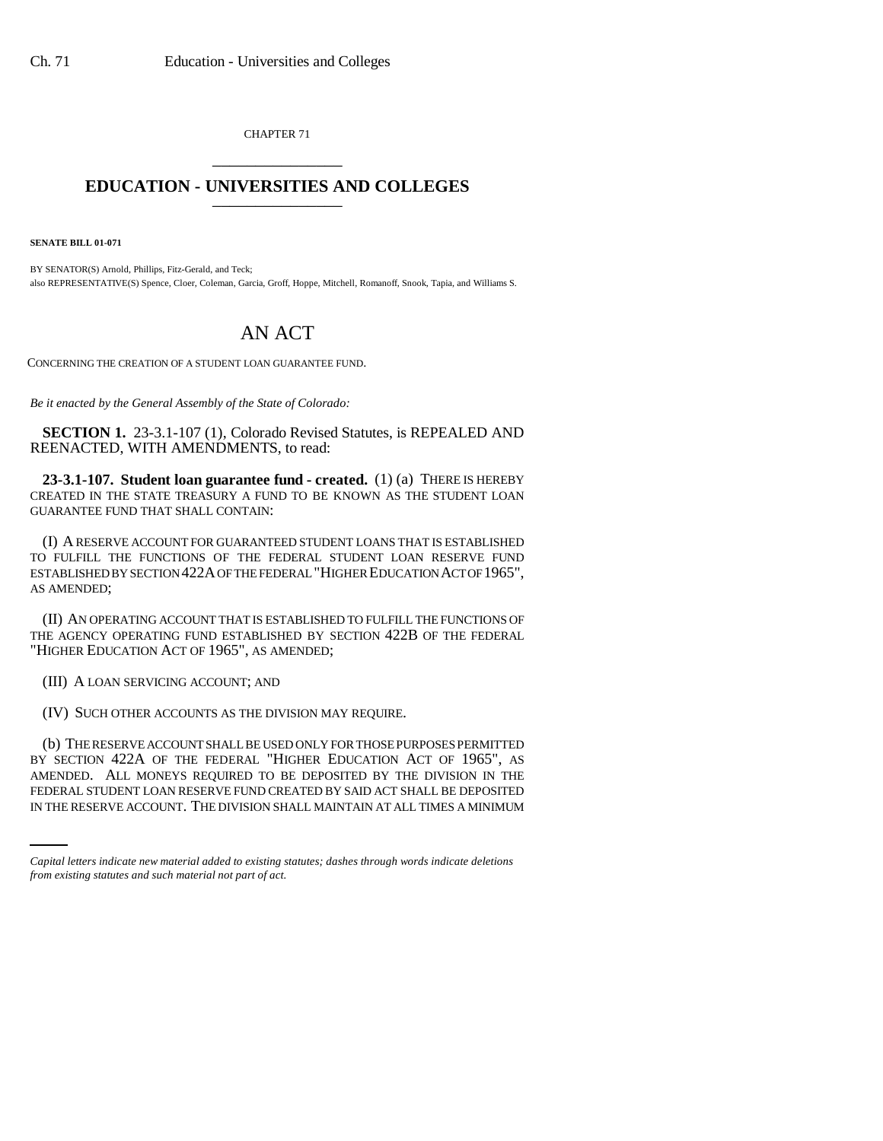CHAPTER 71 \_\_\_\_\_\_\_\_\_\_\_\_\_\_\_

## **EDUCATION - UNIVERSITIES AND COLLEGES** \_\_\_\_\_\_\_\_\_\_\_\_\_\_\_

**SENATE BILL 01-071**

BY SENATOR(S) Arnold, Phillips, Fitz-Gerald, and Teck; also REPRESENTATIVE(S) Spence, Cloer, Coleman, Garcia, Groff, Hoppe, Mitchell, Romanoff, Snook, Tapia, and Williams S.

## AN ACT

CONCERNING THE CREATION OF A STUDENT LOAN GUARANTEE FUND.

*Be it enacted by the General Assembly of the State of Colorado:*

**SECTION 1.** 23-3.1-107 (1), Colorado Revised Statutes, is REPEALED AND REENACTED, WITH AMENDMENTS, to read:

**23-3.1-107. Student loan guarantee fund - created.** (1) (a) THERE IS HEREBY CREATED IN THE STATE TREASURY A FUND TO BE KNOWN AS THE STUDENT LOAN GUARANTEE FUND THAT SHALL CONTAIN:

(I) A RESERVE ACCOUNT FOR GUARANTEED STUDENT LOANS THAT IS ESTABLISHED TO FULFILL THE FUNCTIONS OF THE FEDERAL STUDENT LOAN RESERVE FUND ESTABLISHED BY SECTION 422A OF THE FEDERAL "HIGHER EDUCATION ACT OF 1965", AS AMENDED;

(II) AN OPERATING ACCOUNT THAT IS ESTABLISHED TO FULFILL THE FUNCTIONS OF THE AGENCY OPERATING FUND ESTABLISHED BY SECTION 422B OF THE FEDERAL "HIGHER EDUCATION ACT OF 1965", AS AMENDED;

(III) A LOAN SERVICING ACCOUNT; AND

(IV) SUCH OTHER ACCOUNTS AS THE DIVISION MAY REQUIRE.

AMENDED. ALL MONEYS REQUIRED TO BE DEPOSITED BY THE DIVISION IN THE (b) THE RESERVE ACCOUNT SHALL BE USED ONLY FOR THOSE PURPOSES PERMITTED BY SECTION 422A OF THE FEDERAL "HIGHER EDUCATION ACT OF 1965", AS FEDERAL STUDENT LOAN RESERVE FUND CREATED BY SAID ACT SHALL BE DEPOSITED IN THE RESERVE ACCOUNT. THE DIVISION SHALL MAINTAIN AT ALL TIMES A MINIMUM

*Capital letters indicate new material added to existing statutes; dashes through words indicate deletions from existing statutes and such material not part of act.*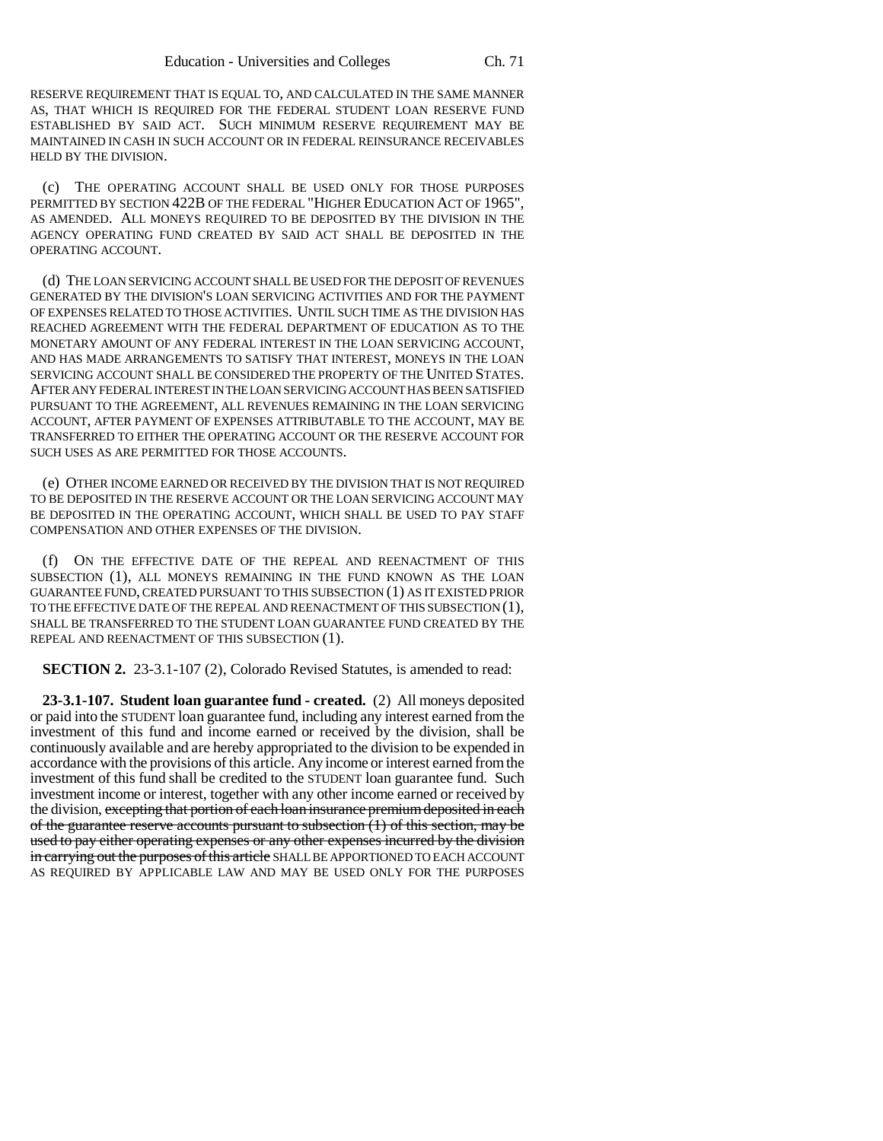RESERVE REQUIREMENT THAT IS EQUAL TO, AND CALCULATED IN THE SAME MANNER AS, THAT WHICH IS REQUIRED FOR THE FEDERAL STUDENT LOAN RESERVE FUND ESTABLISHED BY SAID ACT. SUCH MINIMUM RESERVE REQUIREMENT MAY BE MAINTAINED IN CASH IN SUCH ACCOUNT OR IN FEDERAL REINSURANCE RECEIVABLES HELD BY THE DIVISION.

(c) THE OPERATING ACCOUNT SHALL BE USED ONLY FOR THOSE PURPOSES PERMITTED BY SECTION 422B OF THE FEDERAL "HIGHER EDUCATION ACT OF 1965", AS AMENDED. ALL MONEYS REQUIRED TO BE DEPOSITED BY THE DIVISION IN THE AGENCY OPERATING FUND CREATED BY SAID ACT SHALL BE DEPOSITED IN THE OPERATING ACCOUNT.

(d) THE LOAN SERVICING ACCOUNT SHALL BE USED FOR THE DEPOSIT OF REVENUES GENERATED BY THE DIVISION'S LOAN SERVICING ACTIVITIES AND FOR THE PAYMENT OF EXPENSES RELATED TO THOSE ACTIVITIES. UNTIL SUCH TIME AS THE DIVISION HAS REACHED AGREEMENT WITH THE FEDERAL DEPARTMENT OF EDUCATION AS TO THE MONETARY AMOUNT OF ANY FEDERAL INTEREST IN THE LOAN SERVICING ACCOUNT, AND HAS MADE ARRANGEMENTS TO SATISFY THAT INTEREST, MONEYS IN THE LOAN SERVICING ACCOUNT SHALL BE CONSIDERED THE PROPERTY OF THE UNITED STATES. AFTER ANY FEDERAL INTEREST IN THE LOAN SERVICING ACCOUNT HAS BEEN SATISFIED PURSUANT TO THE AGREEMENT, ALL REVENUES REMAINING IN THE LOAN SERVICING ACCOUNT, AFTER PAYMENT OF EXPENSES ATTRIBUTABLE TO THE ACCOUNT, MAY BE TRANSFERRED TO EITHER THE OPERATING ACCOUNT OR THE RESERVE ACCOUNT FOR SUCH USES AS ARE PERMITTED FOR THOSE ACCOUNTS.

(e) OTHER INCOME EARNED OR RECEIVED BY THE DIVISION THAT IS NOT REQUIRED TO BE DEPOSITED IN THE RESERVE ACCOUNT OR THE LOAN SERVICING ACCOUNT MAY BE DEPOSITED IN THE OPERATING ACCOUNT, WHICH SHALL BE USED TO PAY STAFF COMPENSATION AND OTHER EXPENSES OF THE DIVISION.

(f) ON THE EFFECTIVE DATE OF THE REPEAL AND REENACTMENT OF THIS SUBSECTION (1), ALL MONEYS REMAINING IN THE FUND KNOWN AS THE LOAN GUARANTEE FUND, CREATED PURSUANT TO THIS SUBSECTION (1) AS IT EXISTED PRIOR TO THE EFFECTIVE DATE OF THE REPEAL AND REENACTMENT OF THIS SUBSECTION (1), SHALL BE TRANSFERRED TO THE STUDENT LOAN GUARANTEE FUND CREATED BY THE REPEAL AND REENACTMENT OF THIS SUBSECTION (1).

**SECTION 2.** 23-3.1-107 (2), Colorado Revised Statutes, is amended to read:

**23-3.1-107. Student loan guarantee fund - created.** (2) All moneys deposited or paid into the STUDENT loan guarantee fund, including any interest earned from the investment of this fund and income earned or received by the division, shall be continuously available and are hereby appropriated to the division to be expended in accordance with the provisions of this article. Any income or interest earned from the investment of this fund shall be credited to the STUDENT loan guarantee fund. Such investment income or interest, together with any other income earned or received by the division, excepting that portion of each loan insurance premium deposited in each of the guarantee reserve accounts pursuant to subsection (1) of this section, may be used to pay either operating expenses or any other expenses incurred by the division in carrying out the purposes of this article SHALL BE APPORTIONED TO EACH ACCOUNT AS REQUIRED BY APPLICABLE LAW AND MAY BE USED ONLY FOR THE PURPOSES